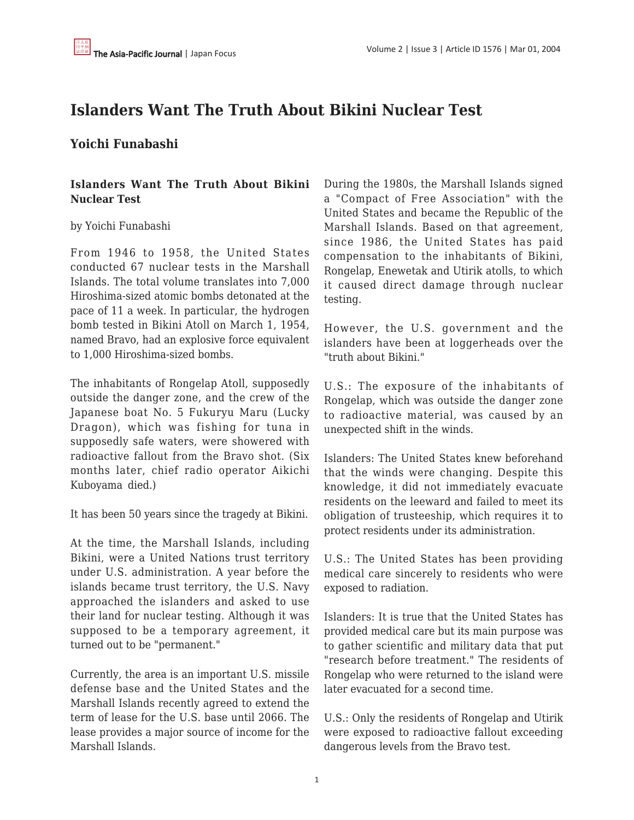## **Islanders Want The Truth About Bikini Nuclear Test**

## **Yoichi Funabashi**

## **Islanders Want The Truth About Bikini Nuclear Test**

## by Yoichi Funabashi

From 1946 to 1958, the United States conducted 67 nuclear tests in the Marshall Islands. The total volume translates into 7,000 Hiroshima-sized atomic bombs detonated at the pace of 11 a week. In particular, the hydrogen bomb tested in Bikini Atoll on March 1, 1954, named Bravo, had an explosive force equivalent to 1,000 Hiroshima-sized bombs.

The inhabitants of Rongelap Atoll, supposedly outside the danger zone, and the crew of the Japanese boat No. 5 Fukuryu Maru (Lucky Dragon), which was fishing for tuna in supposedly safe waters, were showered with radioactive fallout from the Bravo shot. (Six months later, chief radio operator Aikichi Kuboyama died.)

It has been 50 years since the tragedy at Bikini.

At the time, the Marshall Islands, including Bikini, were a United Nations trust territory under U.S. administration. A year before the islands became trust territory, the U.S. Navy approached the islanders and asked to use their land for nuclear testing. Although it was supposed to be a temporary agreement, it turned out to be "permanent."

Currently, the area is an important U.S. missile defense base and the United States and the Marshall Islands recently agreed to extend the term of lease for the U.S. base until 2066. The lease provides a major source of income for the Marshall Islands.

During the 1980s, the Marshall Islands signed a "Compact of Free Association" with the United States and became the Republic of the Marshall Islands. Based on that agreement, since 1986, the United States has paid compensation to the inhabitants of Bikini, Rongelap, Enewetak and Utirik atolls, to which it caused direct damage through nuclear testing.

However, the U.S. government and the islanders have been at loggerheads over the "truth about Bikini."

U.S.: The exposure of the inhabitants of Rongelap, which was outside the danger zone to radioactive material, was caused by an unexpected shift in the winds.

Islanders: The United States knew beforehand that the winds were changing. Despite this knowledge, it did not immediately evacuate residents on the leeward and failed to meet its obligation of trusteeship, which requires it to protect residents under its administration.

U.S.: The United States has been providing medical care sincerely to residents who were exposed to radiation.

Islanders: It is true that the United States has provided medical care but its main purpose was to gather scientific and military data that put "research before treatment." The residents of Rongelap who were returned to the island were later evacuated for a second time.

U.S.: Only the residents of Rongelap and Utirik were exposed to radioactive fallout exceeding dangerous levels from the Bravo test.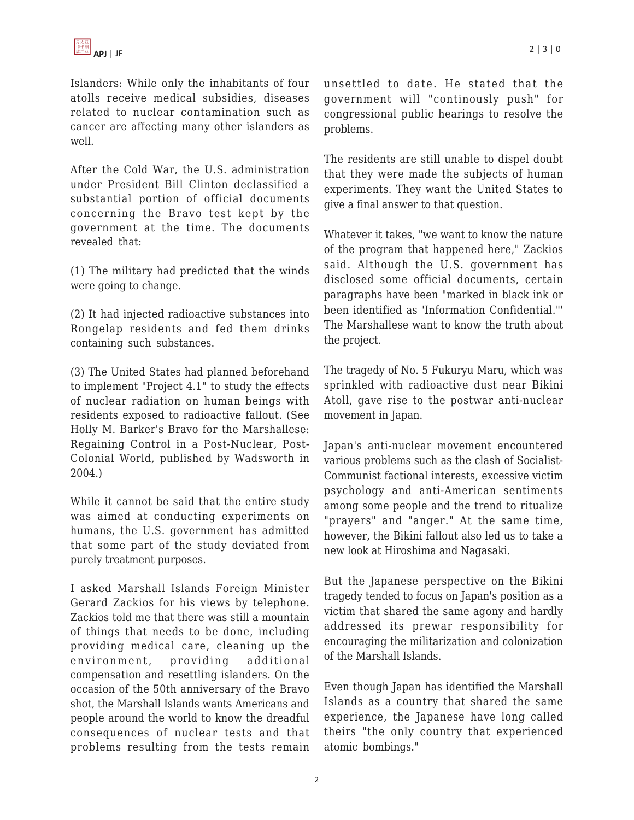Islanders: While only the inhabitants of four atolls receive medical subsidies, diseases related to nuclear contamination such as cancer are affecting many other islanders as well.

After the Cold War, the U.S. administration under President Bill Clinton declassified a substantial portion of official documents concerning the Bravo test kept by the government at the time. The documents revealed that:

(1) The military had predicted that the winds were going to change.

(2) It had injected radioactive substances into Rongelap residents and fed them drinks containing such substances.

(3) The United States had planned beforehand to implement "Project 4.1" to study the effects of nuclear radiation on human beings with residents exposed to radioactive fallout. (See Holly M. Barker's Bravo for the Marshallese: Regaining Control in a Post-Nuclear, Post-Colonial World, published by Wadsworth in 2004.)

While it cannot be said that the entire study was aimed at conducting experiments on humans, the U.S. government has admitted that some part of the study deviated from purely treatment purposes.

I asked Marshall Islands Foreign Minister Gerard Zackios for his views by telephone. Zackios told me that there was still a mountain of things that needs to be done, including providing medical care, cleaning up the environment, providing additional compensation and resettling islanders. On the occasion of the 50th anniversary of the Bravo shot, the Marshall Islands wants Americans and people around the world to know the dreadful consequences of nuclear tests and that problems resulting from the tests remain unsettled to date. He stated that the government will "continously push" for congressional public hearings to resolve the problems.

The residents are still unable to dispel doubt that they were made the subjects of human experiments. They want the United States to give a final answer to that question.

Whatever it takes, "we want to know the nature of the program that happened here," Zackios said. Although the U.S. government has disclosed some official documents, certain paragraphs have been "marked in black ink or been identified as 'Information Confidential."' The Marshallese want to know the truth about the project.

The tragedy of No. 5 Fukuryu Maru, which was sprinkled with radioactive dust near Bikini Atoll, gave rise to the postwar anti-nuclear movement in Japan.

Japan's anti-nuclear movement encountered various problems such as the clash of Socialist-Communist factional interests, excessive victim psychology and anti-American sentiments among some people and the trend to ritualize "prayers" and "anger." At the same time, however, the Bikini fallout also led us to take a new look at Hiroshima and Nagasaki.

But the Japanese perspective on the Bikini tragedy tended to focus on Japan's position as a victim that shared the same agony and hardly addressed its prewar responsibility for encouraging the militarization and colonization of the Marshall Islands.

Even though Japan has identified the Marshall Islands as a country that shared the same experience, the Japanese have long called theirs "the only country that experienced atomic bombings."